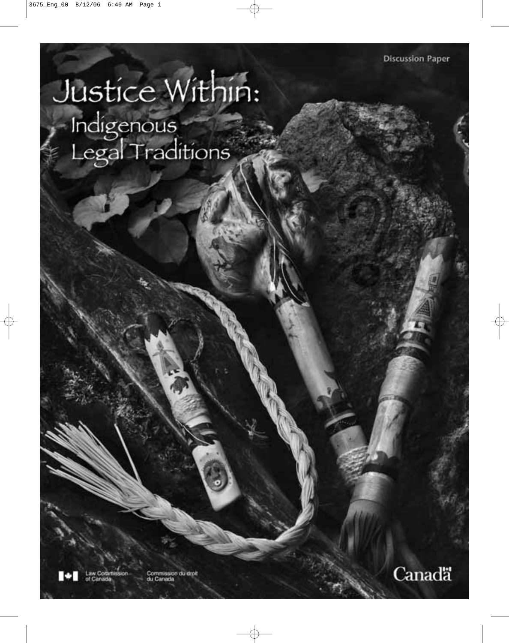**Discussion Paper** 

# Justice Within: Indígenous<br>Legal Traditions

Commission du droit<br>du Canada

**Canadä**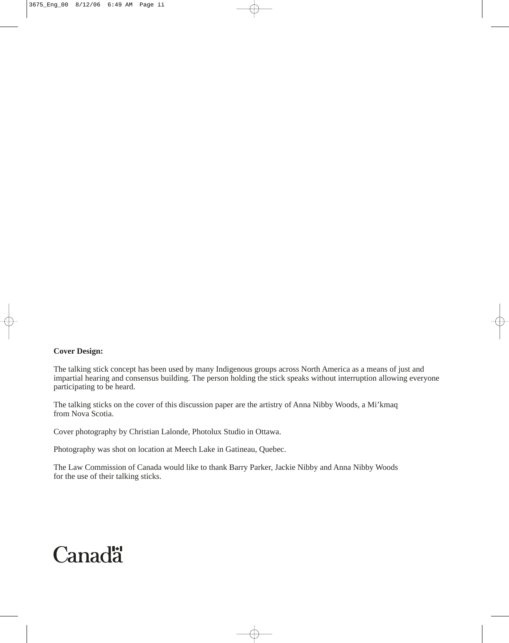#### **Cover Design:**

The talking stick concept has been used by many Indigenous groups across North America as a means of just and impartial hearing and consensus building. The person holding the stick speaks without interruption allowing everyone participating to be heard.

 $\oplus$ 

The talking sticks on the cover of this discussion paper are the artistry of Anna Nibby Woods, a Mi'kmaq from Nova Scotia.

Cover photography by Christian Lalonde, Photolux Studio in Ottawa.

Photography was shot on location at Meech Lake in Gatineau, Quebec.

The Law Commission of Canada would like to thank Barry Parker, Jackie Nibby and Anna Nibby Woods for the use of their talking sticks.

## Canadä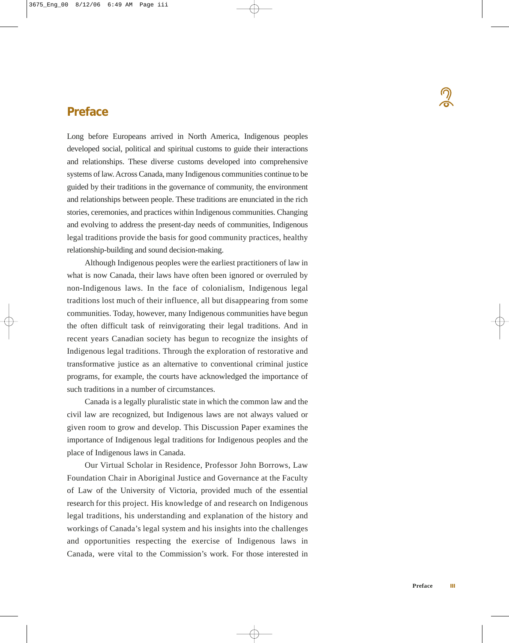## **Preface**

Long before Europeans arrived in North America, Indigenous peoples developed social, political and spiritual customs to guide their interactions and relationships. These diverse customs developed into comprehensive systems of law. Across Canada, many Indigenous communities continue to be guided by their traditions in the governance of community, the environment and relationships between people. These traditions are enunciated in the rich stories, ceremonies, and practices within Indigenous communities. Changing and evolving to address the present-day needs of communities, Indigenous legal traditions provide the basis for good community practices, healthy relationship-building and sound decision-making.

Although Indigenous peoples were the earliest practitioners of law in what is now Canada, their laws have often been ignored or overruled by non-Indigenous laws. In the face of colonialism, Indigenous legal traditions lost much of their influence, all but disappearing from some communities. Today, however, many Indigenous communities have begun the often difficult task of reinvigorating their legal traditions. And in recent years Canadian society has begun to recognize the insights of Indigenous legal traditions. Through the exploration of restorative and transformative justice as an alternative to conventional criminal justice programs, for example, the courts have acknowledged the importance of such traditions in a number of circumstances.

Canada is a legally pluralistic state in which the common law and the civil law are recognized, but Indigenous laws are not always valued or given room to grow and develop. This Discussion Paper examines the importance of Indigenous legal traditions for Indigenous peoples and the place of Indigenous laws in Canada.

Our Virtual Scholar in Residence, Professor John Borrows, Law Foundation Chair in Aboriginal Justice and Governance at the Faculty of Law of the University of Victoria, provided much of the essential research for this project. His knowledge of and research on Indigenous legal traditions, his understanding and explanation of the history and workings of Canada's legal system and his insights into the challenges and opportunities respecting the exercise of Indigenous laws in Canada, were vital to the Commission's work. For those interested in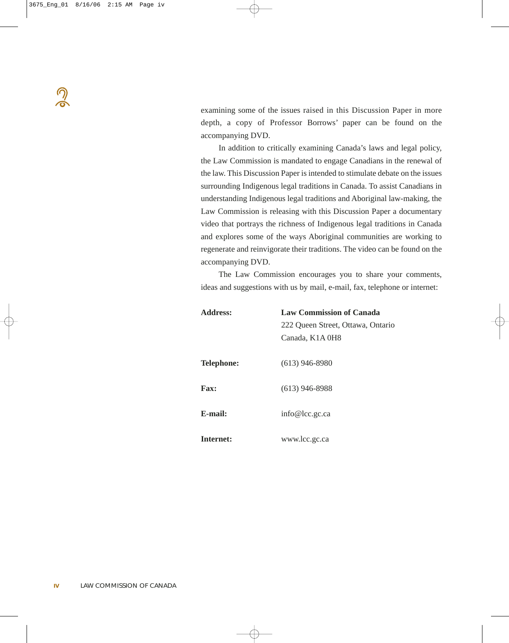examining some of the issues raised in this Discussion Paper in more depth, a copy of Professor Borrows' paper can be found on the accompanying DVD.

In addition to critically examining Canada's laws and legal policy, the Law Commission is mandated to engage Canadians in the renewal of the law. This Discussion Paper is intended to stimulate debate on the issues surrounding Indigenous legal traditions in Canada. To assist Canadians in understanding Indigenous legal traditions and Aboriginal law-making, the Law Commission is releasing with this Discussion Paper a documentary video that portrays the richness of Indigenous legal traditions in Canada and explores some of the ways Aboriginal communities are working to regenerate and reinvigorate their traditions. The video can be found on the accompanying DVD.

The Law Commission encourages you to share your comments, ideas and suggestions with us by mail, e-mail, fax, telephone or internet:

| <b>Address:</b>   | <b>Law Commission of Canada</b>   |  |
|-------------------|-----------------------------------|--|
|                   | 222 Queen Street, Ottawa, Ontario |  |
|                   | Canada, K1A 0H8                   |  |
|                   |                                   |  |
| <b>Telephone:</b> | $(613)$ 946-8980                  |  |
|                   |                                   |  |
| <b>Fax:</b>       | $(613)$ 946-8988                  |  |
| E-mail:           | info@lcc.gc.ca                    |  |
|                   |                                   |  |
| Internet:         | www.lcc.gc.ca                     |  |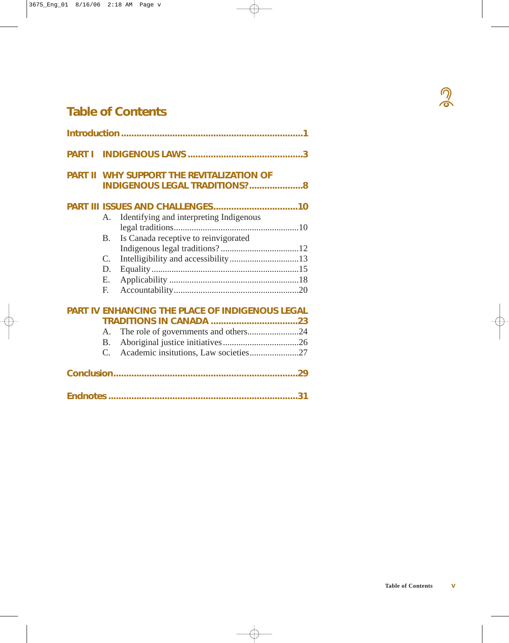# $\sqrt{2}$

## **Table of Contents**

| <b>PART I</b> |             |                                                 |  |
|---------------|-------------|-------------------------------------------------|--|
|               |             | PART II WHY SUPPORT THE REVITALIZATION OF       |  |
|               |             | INDIGENOUS LEGAL TRADITIONS?8                   |  |
|               |             |                                                 |  |
|               | A.          | Identifying and interpreting Indigenous         |  |
|               |             |                                                 |  |
|               | <b>B.</b>   | Is Canada receptive to reinvigorated            |  |
|               |             |                                                 |  |
|               | $C_{\cdot}$ |                                                 |  |
|               | D.          |                                                 |  |
|               | E.          |                                                 |  |
|               | F.          |                                                 |  |
|               |             | PART IV ENHANCING THE PLACE OF INDIGENOUS LEGAL |  |
|               |             |                                                 |  |
|               | А.          |                                                 |  |
|               | $B_{\cdot}$ |                                                 |  |
|               | C.          | Academic insitutions, Law societies27           |  |
|               |             |                                                 |  |
|               |             |                                                 |  |

士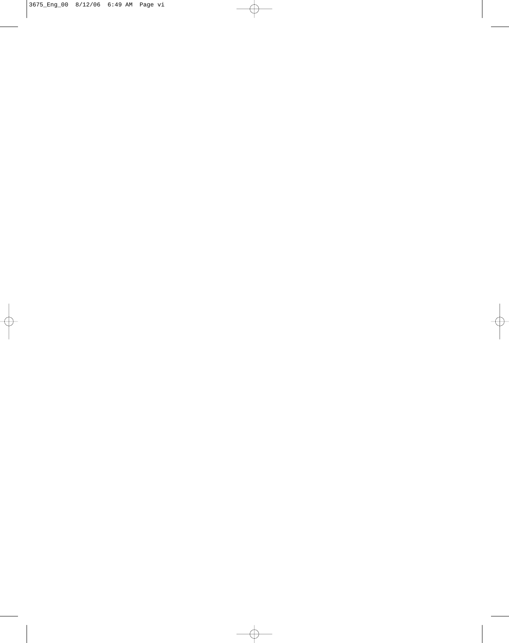3675\_Eng\_00 8/12/06 6:49 AM Page vi

 $\overline{\mathrm{P}}$ 

 $\overline{\oplus}$ 

 $\oplus$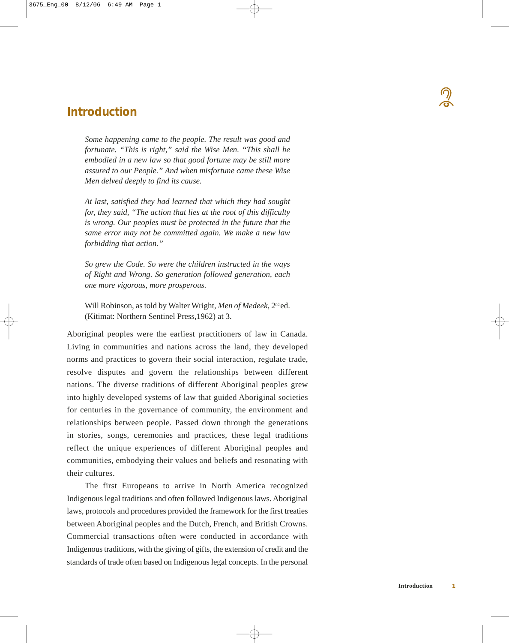## **Introduction**

*Some happening came to the people. The result was good and fortunate. "This is right," said the Wise Men. "This shall be embodied in a new law so that good fortune may be still more assured to our People." And when misfortune came these Wise Men delved deeply to find its cause.*

*At last, satisfied they had learned that which they had sought for, they said, "The action that lies at the root of this difficulty is wrong. Our peoples must be protected in the future that the same error may not be committed again. We make a new law forbidding that action."*

*So grew the Code. So were the children instructed in the ways of Right and Wrong. So generation followed generation, each one more vigorous, more prosperous.* 

Will Robinson, as told by Walter Wright, *Men of Medeek*, 2<sup>nd</sup> ed. (Kitimat: Northern Sentinel Press,1962) at 3.

Aboriginal peoples were the earliest practitioners of law in Canada. Living in communities and nations across the land, they developed norms and practices to govern their social interaction, regulate trade, resolve disputes and govern the relationships between different nations. The diverse traditions of different Aboriginal peoples grew into highly developed systems of law that guided Aboriginal societies for centuries in the governance of community, the environment and relationships between people. Passed down through the generations in stories, songs, ceremonies and practices, these legal traditions reflect the unique experiences of different Aboriginal peoples and communities, embodying their values and beliefs and resonating with their cultures.

The first Europeans to arrive in North America recognized Indigenous legal traditions and often followed Indigenous laws. Aboriginal laws, protocols and procedures provided the framework for the first treaties between Aboriginal peoples and the Dutch, French, and British Crowns. Commercial transactions often were conducted in accordance with Indigenous traditions, with the giving of gifts, the extension of credit and the standards of trade often based on Indigenous legal concepts. In the personal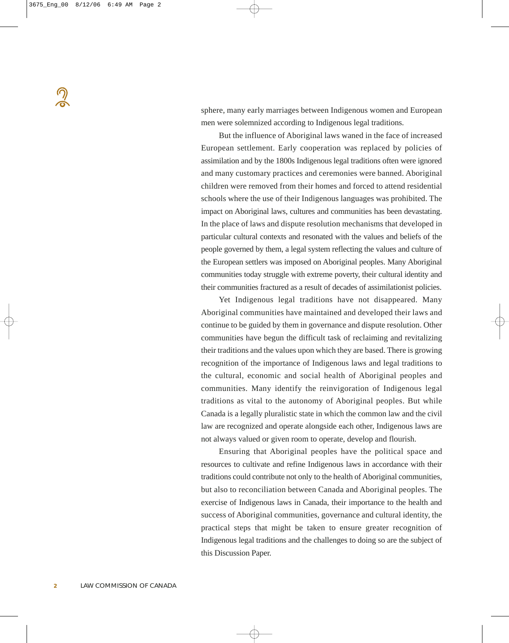sphere, many early marriages between Indigenous women and European men were solemnized according to Indigenous legal traditions.

But the influence of Aboriginal laws waned in the face of increased European settlement. Early cooperation was replaced by policies of assimilation and by the 1800s Indigenous legal traditions often were ignored and many customary practices and ceremonies were banned. Aboriginal children were removed from their homes and forced to attend residential schools where the use of their Indigenous languages was prohibited. The impact on Aboriginal laws, cultures and communities has been devastating. In the place of laws and dispute resolution mechanisms that developed in particular cultural contexts and resonated with the values and beliefs of the people governed by them, a legal system reflecting the values and culture of the European settlers was imposed on Aboriginal peoples. Many Aboriginal communities today struggle with extreme poverty, their cultural identity and their communities fractured as a result of decades of assimilationist policies.

Yet Indigenous legal traditions have not disappeared. Many Aboriginal communities have maintained and developed their laws and continue to be guided by them in governance and dispute resolution. Other communities have begun the difficult task of reclaiming and revitalizing their traditions and the values upon which they are based. There is growing recognition of the importance of Indigenous laws and legal traditions to the cultural, economic and social health of Aboriginal peoples and communities. Many identify the reinvigoration of Indigenous legal traditions as vital to the autonomy of Aboriginal peoples. But while Canada is a legally pluralistic state in which the common law and the civil law are recognized and operate alongside each other, Indigenous laws are not always valued or given room to operate, develop and flourish.

Ensuring that Aboriginal peoples have the political space and resources to cultivate and refine Indigenous laws in accordance with their traditions could contribute not only to the health of Aboriginal communities, but also to reconciliation between Canada and Aboriginal peoples. The exercise of Indigenous laws in Canada, their importance to the health and success of Aboriginal communities, governance and cultural identity, the practical steps that might be taken to ensure greater recognition of Indigenous legal traditions and the challenges to doing so are the subject of this Discussion Paper.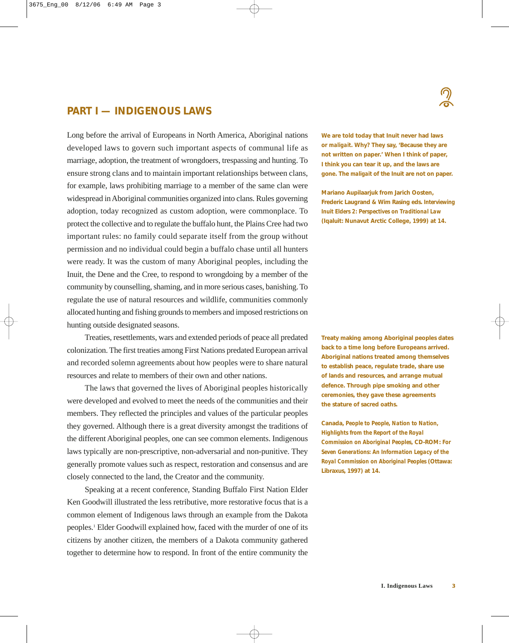#### **PART I — INDIGENOUS LAWS**

Long before the arrival of Europeans in North America, Aboriginal nations developed laws to govern such important aspects of communal life as marriage, adoption, the treatment of wrongdoers, trespassing and hunting. To ensure strong clans and to maintain important relationships between clans, for example, laws prohibiting marriage to a member of the same clan were widespread in Aboriginal communities organized into clans. Rules governing adoption, today recognized as custom adoption, were commonplace. To protect the collective and to regulate the buffalo hunt, the Plains Cree had two important rules: no family could separate itself from the group without permission and no individual could begin a buffalo chase until all hunters were ready. It was the custom of many Aboriginal peoples, including the Inuit, the Dene and the Cree, to respond to wrongdoing by a member of the community by counselling, shaming, and in more serious cases, banishing. To regulate the use of natural resources and wildlife, communities commonly allocated hunting and fishing grounds to members and imposed restrictions on hunting outside designated seasons.

Treaties, resettlements, wars and extended periods of peace all predated colonization. The first treaties among First Nations predated European arrival and recorded solemn agreements about how peoples were to share natural resources and relate to members of their own and other nations.

The laws that governed the lives of Aboriginal peoples historically were developed and evolved to meet the needs of the communities and their members. They reflected the principles and values of the particular peoples they governed. Although there is a great diversity amongst the traditions of the different Aboriginal peoples, one can see common elements. Indigenous laws typically are non-prescriptive, non-adversarial and non-punitive. They generally promote values such as respect, restoration and consensus and are closely connected to the land, the Creator and the community.

Speaking at a recent conference, Standing Buffalo First Nation Elder Ken Goodwill illustrated the less retributive, more restorative focus that is a common element of Indigenous laws through an example from the Dakota peoples.1 Elder Goodwill explained how, faced with the murder of one of its citizens by another citizen, the members of a Dakota community gathered together to determine how to respond. In front of the entire community the

**We are told today that Inuit never had laws or** *maligait***. Why? They say, 'Because they are not written on paper.' When I think of paper, I think you can tear it up, and the laws are gone. The** *maligait* **of the Inuit are not on paper.**

**Mariano Aupilaarjuk from Jarich Oosten, Frederic Laugrand & Wim Rasing eds.** *Interviewing Inuit Elders 2: Perspectives on Traditional Law* **(Iqaluit: Nunavut Arctic College, 1999) at 14.**

**Treaty making among Aboriginal peoples dates back to a time long before Europeans arrived. Aboriginal nations treated among themselves to establish peace, regulate trade, share use of lands and resources, and arrange mutual defence. Through pipe smoking and other ceremonies, they gave these agreements the stature of sacred oaths.**

**Canada,** *People to People, Nation to Nation, Highlights from the Report of the Royal Commission on Aboriginal Peoples,* **CD-ROM:** *For Seven Generations: An Information Legacy of the Royal Commission on Aboriginal Peoples* **(Ottawa: Libraxus, 1997) at 14.**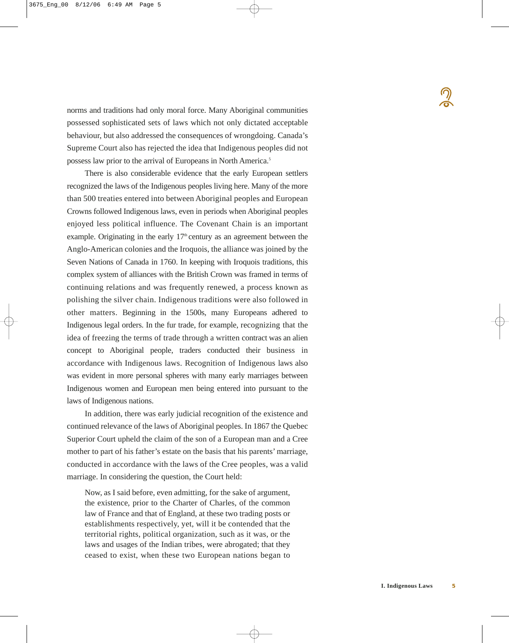norms and traditions had only moral force. Many Aboriginal communities possessed sophisticated sets of laws which not only dictated acceptable behaviour, but also addressed the consequences of wrongdoing. Canada's Supreme Court also has rejected the idea that Indigenous peoples did not possess law prior to the arrival of Europeans in North America.5

There is also considerable evidence that the early European settlers recognized the laws of the Indigenous peoples living here. Many of the more than 500 treaties entered into between Aboriginal peoples and European Crowns followed Indigenous laws, even in periods when Aboriginal peoples enjoyed less political influence. The Covenant Chain is an important example. Originating in the early  $17<sup>th</sup>$  century as an agreement between the Anglo-American colonies and the Iroquois, the alliance was joined by the Seven Nations of Canada in 1760. In keeping with Iroquois traditions, this complex system of alliances with the British Crown was framed in terms of continuing relations and was frequently renewed, a process known as polishing the silver chain. Indigenous traditions were also followed in other matters. Beginning in the 1500s, many Europeans adhered to Indigenous legal orders. In the fur trade, for example, recognizing that the idea of freezing the terms of trade through a written contract was an alien concept to Aboriginal people, traders conducted their business in accordance with Indigenous laws. Recognition of Indigenous laws also was evident in more personal spheres with many early marriages between Indigenous women and European men being entered into pursuant to the laws of Indigenous nations.

In addition, there was early judicial recognition of the existence and continued relevance of the laws of Aboriginal peoples. In 1867 the Quebec Superior Court upheld the claim of the son of a European man and a Cree mother to part of his father's estate on the basis that his parents' marriage, conducted in accordance with the laws of the Cree peoples, was a valid marriage. In considering the question, the Court held:

Now, as I said before, even admitting, for the sake of argument, the existence, prior to the Charter of Charles, of the common law of France and that of England, at these two trading posts or establishments respectively, yet, will it be contended that the territorial rights, political organization, such as it was, or the laws and usages of the Indian tribes, were abrogated; that they ceased to exist, when these two European nations began to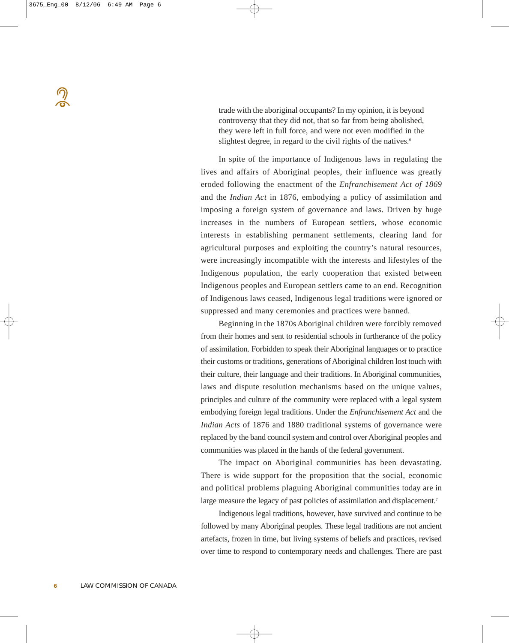trade with the aboriginal occupants? In my opinion, it is beyond controversy that they did not, that so far from being abolished, they were left in full force, and were not even modified in the slightest degree, in regard to the civil rights of the natives.<sup>6</sup>

In spite of the importance of Indigenous laws in regulating the lives and affairs of Aboriginal peoples, their influence was greatly eroded following the enactment of the *Enfranchisement Act of 1869* and the *Indian Act* in 1876, embodying a policy of assimilation and imposing a foreign system of governance and laws. Driven by huge increases in the numbers of European settlers, whose economic interests in establishing permanent settlements, clearing land for agricultural purposes and exploiting the country's natural resources, were increasingly incompatible with the interests and lifestyles of the Indigenous population, the early cooperation that existed between Indigenous peoples and European settlers came to an end. Recognition of Indigenous laws ceased, Indigenous legal traditions were ignored or suppressed and many ceremonies and practices were banned.

Beginning in the 1870s Aboriginal children were forcibly removed from their homes and sent to residential schools in furtherance of the policy of assimilation. Forbidden to speak their Aboriginal languages or to practice their customs or traditions, generations of Aboriginal children lost touch with their culture, their language and their traditions. In Aboriginal communities, laws and dispute resolution mechanisms based on the unique values, principles and culture of the community were replaced with a legal system embodying foreign legal traditions. Under the *Enfranchisement Act* and the *Indian Acts* of 1876 and 1880 traditional systems of governance were replaced by the band council system and control over Aboriginal peoples and communities was placed in the hands of the federal government.

The impact on Aboriginal communities has been devastating. There is wide support for the proposition that the social, economic and political problems plaguing Aboriginal communities today are in large measure the legacy of past policies of assimilation and displacement.<sup>7</sup>

Indigenous legal traditions, however, have survived and continue to be followed by many Aboriginal peoples. These legal traditions are not ancient artefacts, frozen in time, but living systems of beliefs and practices, revised over time to respond to contemporary needs and challenges. There are past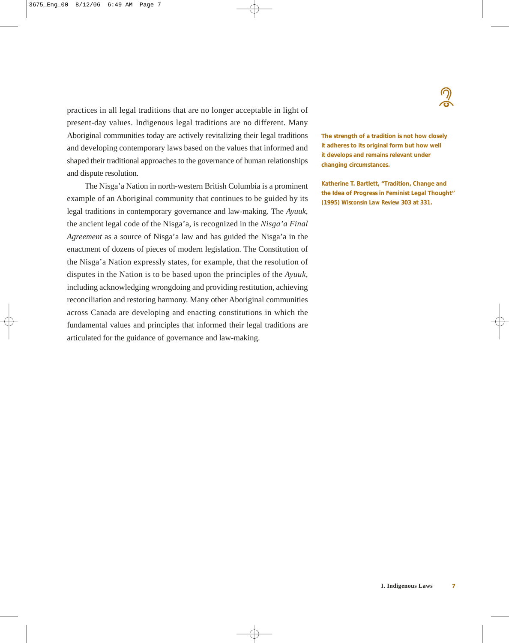practices in all legal traditions that are no longer acceptable in light of present-day values. Indigenous legal traditions are no different. Many Aboriginal communities today are actively revitalizing their legal traditions and developing contemporary laws based on the values that informed and shaped their traditional approaches to the governance of human relationships and dispute resolution.

The Nisga'a Nation in north-western British Columbia is a prominent example of an Aboriginal community that continues to be guided by its legal traditions in contemporary governance and law-making. The *Ayuuk*, the ancient legal code of the Nisga'a, is recognized in the *Nisga'a Final Agreement* as a source of Nisga'a law and has guided the Nisga'a in the enactment of dozens of pieces of modern legislation. The Constitution of the Nisga'a Nation expressly states, for example, that the resolution of disputes in the Nation is to be based upon the principles of the *Ayuuk*, including acknowledging wrongdoing and providing restitution, achieving reconciliation and restoring harmony. Many other Aboriginal communities across Canada are developing and enacting constitutions in which the fundamental values and principles that informed their legal traditions are articulated for the guidance of governance and law-making.

**The strength of a tradition is not how closely it adheres to its original form but how well it develops and remains relevant under changing circumstances.**

**Katherine T. Bartlett, "Tradition, Change and the Idea of Progress in Feminist Legal Thought" (1995)** *Wisconsin Law Review* **303 at 331.**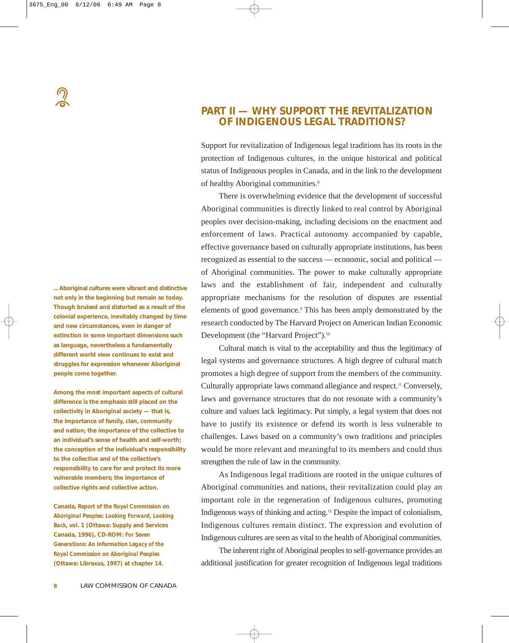#### **…Aboriginal cultures were vibrant and distinctive not only in the beginning but remain so today. Though bruised and distorted as a result of the colonial experience, inevitably changed by time and new circumstances, even in danger of extinction in some important dimensions such as language, nevertheless a fundamentally different world view continues to exist and struggles for expression whenever Aboriginal people come together.**

**Among the most important aspects of cultural difference is the emphasis still placed on the collectivity in Aboriginal society — that is, the importance of family, clan, community and nation; the importance of the collective to an individual's sense of health and self-worth; the conception of the individual's responsibility to the collective and of the collective's responsibility to care for and protect its more vulnerable members; the importance of collective rights and collective action.**

**Canada,** *Report of the Royal Commission on Aboriginal Peoples: Looking Forward, Looking Back***, vol. 1 (Ottawa: Supply and Services Canada, 1996), CD-ROM:** *For Seven Generations: An Information Legacy of the Royal Commission on Aboriginal Peoples*  **(Ottawa: Libraxus, 1997) at chapter 14.** 

## **PART II — WHY SUPPORT THE REVITALIZATION OF INDIGENOUS LEGAL TRADITIONS?**

Support for revitalization of Indigenous legal traditions has its roots in the protection of Indigenous cultures, in the unique historical and political status of Indigenous peoples in Canada, and in the link to the development of healthy Aboriginal communities.<sup>8</sup>

There is overwhelming evidence that the development of successful Aboriginal communities is directly linked to real control by Aboriginal peoples over decision-making, including decisions on the enactment and enforcement of laws. Practical autonomy accompanied by capable, effective governance based on culturally appropriate institutions, has been recognized as essential to the success — economic, social and political of Aboriginal communities. The power to make culturally appropriate laws and the establishment of fair, independent and culturally appropriate mechanisms for the resolution of disputes are essential elements of good governance.<sup>9</sup> This has been amply demonstrated by the research conducted by The Harvard Project on American Indian Economic Development (the "Harvard Project").<sup>10</sup>

Cultural match is vital to the acceptability and thus the legitimacy of legal systems and governance structures. A high degree of cultural match promotes a high degree of support from the members of the community. Culturally appropriate laws command allegiance and respect.11 Conversely, laws and governance structures that do not resonate with a community's culture and values lack legitimacy. Put simply, a legal system that does not have to justify its existence or defend its worth is less vulnerable to challenges. Laws based on a community's own traditions and principles would be more relevant and meaningful to its members and could thus strengthen the rule of law in the community.

As Indigenous legal traditions are rooted in the unique cultures of Aboriginal communities and nations, their revitalization could play an important role in the regeneration of Indigenous cultures, promoting Indigenous ways of thinking and acting.12 Despite the impact of colonialism, Indigenous cultures remain distinct. The expression and evolution of Indigenous cultures are seen as vital to the health of Aboriginal communities.

The inherent right of Aboriginal peoples to self-governance provides an additional justification for greater recognition of Indigenous legal traditions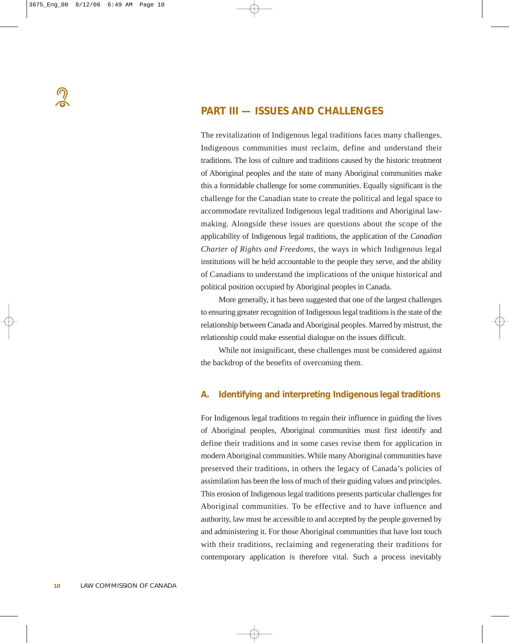## **PART III — ISSUES AND CHALLENGES**

The revitalization of Indigenous legal traditions faces many challenges. Indigenous communities must reclaim, define and understand their traditions. The loss of culture and traditions caused by the historic treatment of Aboriginal peoples and the state of many Aboriginal communities make this a formidable challenge for some communities. Equally significant is the challenge for the Canadian state to create the political and legal space to accommodate revitalized Indigenous legal traditions and Aboriginal lawmaking. Alongside these issues are questions about the scope of the applicability of Indigenous legal traditions, the application of the *Canadian Charter of Rights and Freedoms*, the ways in which Indigenous legal institutions will be held accountable to the people they serve, and the ability of Canadians to understand the implications of the unique historical and political position occupied by Aboriginal peoples in Canada.

More generally, it has been suggested that one of the largest challenges to ensuring greater recognition of Indigenous legal traditions is the state of the relationship between Canada and Aboriginal peoples. Marred by mistrust, the relationship could make essential dialogue on the issues difficult.

While not insignificant, these challenges must be considered against the backdrop of the benefits of overcoming them.

#### **A. Identifying and interpreting Indigenous legal traditions**

For Indigenous legal traditions to regain their influence in guiding the lives of Aboriginal peoples, Aboriginal communities must first identify and define their traditions and in some cases revise them for application in modern Aboriginal communities. While many Aboriginal communities have preserved their traditions, in others the legacy of Canada's policies of assimilation has been the loss of much of their guiding values and principles. This erosion of Indigenous legal traditions presents particular challenges for Aboriginal communities. To be effective and to have influence and authority, law must be accessible to and accepted by the people governed by and administering it. For those Aboriginal communities that have lost touch with their traditions, reclaiming and regenerating their traditions for contemporary application is therefore vital. Such a process inevitably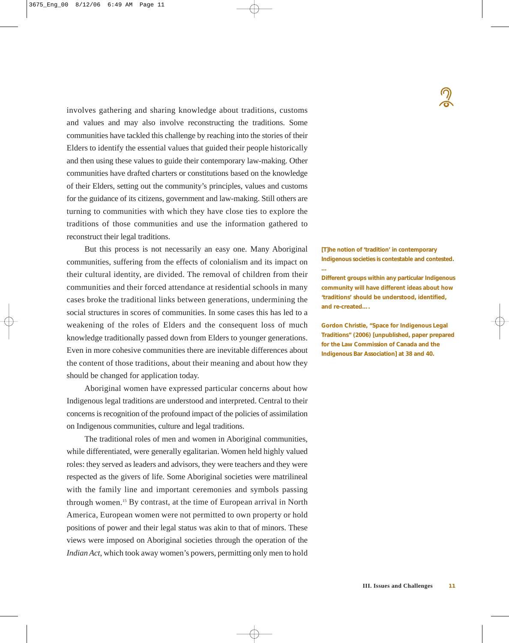involves gathering and sharing knowledge about traditions, customs and values and may also involve reconstructing the traditions. Some communities have tackled this challenge by reaching into the stories of their Elders to identify the essential values that guided their people historically and then using these values to guide their contemporary law-making. Other communities have drafted charters or constitutions based on the knowledge of their Elders, setting out the community's principles, values and customs for the guidance of its citizens, government and law-making. Still others are turning to communities with which they have close ties to explore the traditions of those communities and use the information gathered to reconstruct their legal traditions.

But this process is not necessarily an easy one. Many Aboriginal communities, suffering from the effects of colonialism and its impact on their cultural identity, are divided. The removal of children from their communities and their forced attendance at residential schools in many cases broke the traditional links between generations, undermining the social structures in scores of communities. In some cases this has led to a weakening of the roles of Elders and the consequent loss of much knowledge traditionally passed down from Elders to younger generations. Even in more cohesive communities there are inevitable differences about the content of those traditions, about their meaning and about how they should be changed for application today.

Aboriginal women have expressed particular concerns about how Indigenous legal traditions are understood and interpreted. Central to their concerns is recognition of the profound impact of the policies of assimilation on Indigenous communities, culture and legal traditions.

The traditional roles of men and women in Aboriginal communities, while differentiated, were generally egalitarian. Women held highly valued roles: they served as leaders and advisors, they were teachers and they were respected as the givers of life. Some Aboriginal societies were matrilineal with the family line and important ceremonies and symbols passing through women.15 By contrast, at the time of European arrival in North America, European women were not permitted to own property or hold positions of power and their legal status was akin to that of minors. These views were imposed on Aboriginal societies through the operation of the *Indian Act*, which took away women's powers, permitting only men to hold

**[T]he notion of 'tradition' in contemporary Indigenous societies is contestable and contested.**

**Different groups within any particular Indigenous community will have different ideas about how 'traditions' should be understood, identified, and re-created….**

**…**

**Gordon Christie, "Space for Indigenous Legal Traditions" (2006) [unpublished, paper prepared for the Law Commission of Canada and the Indigenous Bar Association] at 38 and 40.**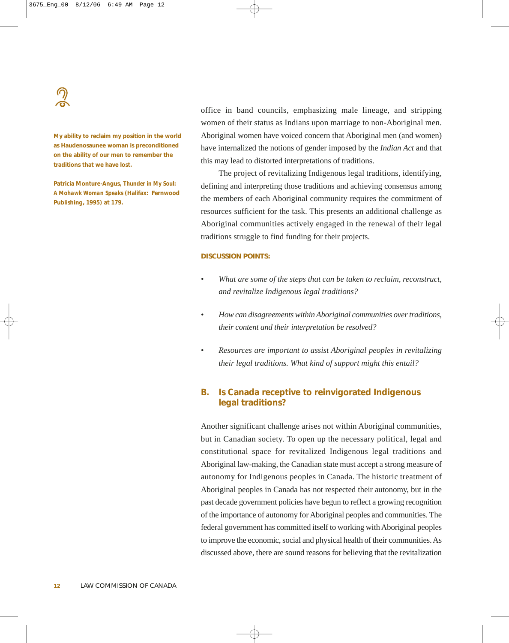**My ability to reclaim my position in the world as Haudenosaunee woman is preconditioned on the ability of our men to remember the traditions that we have lost.** 

**Patricia Monture-Angus,** *Thunder in My Soul: A Mohawk Woman Speaks* **(Halifax: Fernwood Publishing, 1995) at 179.** 

office in band councils, emphasizing male lineage, and stripping women of their status as Indians upon marriage to non-Aboriginal men. Aboriginal women have voiced concern that Aboriginal men (and women) have internalized the notions of gender imposed by the *Indian Act* and that this may lead to distorted interpretations of traditions.

The project of revitalizing Indigenous legal traditions, identifying, defining and interpreting those traditions and achieving consensus among the members of each Aboriginal community requires the commitment of resources sufficient for the task. This presents an additional challenge as Aboriginal communities actively engaged in the renewal of their legal traditions struggle to find funding for their projects.

#### **DISCUSSION POINTS:**

- *What are some of the steps that can be taken to reclaim, reconstruct, and revitalize Indigenous legal traditions?*
- *How can disagreements within Aboriginal communities over traditions, their content and their interpretation be resolved?*
- *Resources are important to assist Aboriginal peoples in revitalizing their legal traditions. What kind of support might this entail?*

#### **B. Is Canada receptive to reinvigorated Indigenous legal traditions?**

Another significant challenge arises not within Aboriginal communities, but in Canadian society. To open up the necessary political, legal and constitutional space for revitalized Indigenous legal traditions and Aboriginal law-making, the Canadian state must accept a strong measure of autonomy for Indigenous peoples in Canada. The historic treatment of Aboriginal peoples in Canada has not respected their autonomy, but in the past decade government policies have begun to reflect a growing recognition of the importance of autonomy for Aboriginal peoples and communities. The federal government has committed itself to working with Aboriginal peoples to improve the economic, social and physical health of their communities. As discussed above, there are sound reasons for believing that the revitalization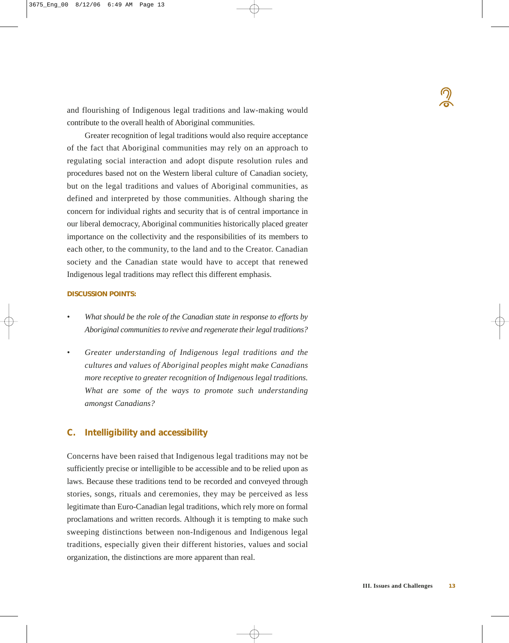and flourishing of Indigenous legal traditions and law-making would contribute to the overall health of Aboriginal communities.

Greater recognition of legal traditions would also require acceptance of the fact that Aboriginal communities may rely on an approach to regulating social interaction and adopt dispute resolution rules and procedures based not on the Western liberal culture of Canadian society, but on the legal traditions and values of Aboriginal communities, as defined and interpreted by those communities. Although sharing the concern for individual rights and security that is of central importance in our liberal democracy, Aboriginal communities historically placed greater importance on the collectivity and the responsibilities of its members to each other, to the community, to the land and to the Creator. Canadian society and the Canadian state would have to accept that renewed Indigenous legal traditions may reflect this different emphasis.

#### **DISCUSSION POINTS:**

- *What should be the role of the Canadian state in response to efforts by Aboriginal communities to revive and regenerate their legal traditions?*
- *Greater understanding of Indigenous legal traditions and the cultures and values of Aboriginal peoples might make Canadians more receptive to greater recognition of Indigenous legal traditions. What are some of the ways to promote such understanding amongst Canadians?*

#### **C. Intelligibility and accessibility**

Concerns have been raised that Indigenous legal traditions may not be sufficiently precise or intelligible to be accessible and to be relied upon as laws. Because these traditions tend to be recorded and conveyed through stories, songs, rituals and ceremonies, they may be perceived as less legitimate than Euro-Canadian legal traditions, which rely more on formal proclamations and written records. Although it is tempting to make such sweeping distinctions between non-Indigenous and Indigenous legal traditions, especially given their different histories, values and social organization, the distinctions are more apparent than real.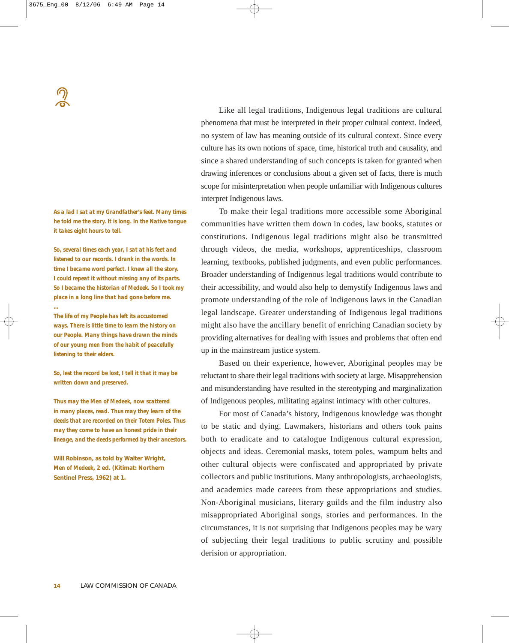*…*

*As a lad I sat at my Grandfather's feet. Many times he told me the story. It is long. In the Native tongue it takes eight hours to tell.*

*So, several times each year, I sat at his feet and listened to our records. I drank in the words. In time I became word perfect. I knew all the story. I could repeat it without missing any of its parts. So I became the historian of Medeek. So I took my place in a long line that had gone before me.*

*The life of my People has left its accustomed ways. There is little time to learn the history on our People. Many things have drawn the minds of our young men from the habit of peacefully listening to their elders.*

*So, lest the record be lost, I tell it that it may be written down and preserved.*

*Thus may the Men of Medeek, now scattered in many places, read. Thus may they learn of the deeds that are recorded on their Totem Poles. Thus may they come to have an honest pride in their lineage, and the deeds performed by their ancestors.* 

**Will Robinson, as told by Walter Wright,** *Men of Medeek***, 2 ed. (Kitimat: Northern Sentinel Press, 1962) at 1.**

Like all legal traditions, Indigenous legal traditions are cultural phenomena that must be interpreted in their proper cultural context. Indeed, no system of law has meaning outside of its cultural context. Since every culture has its own notions of space, time, historical truth and causality, and since a shared understanding of such concepts is taken for granted when drawing inferences or conclusions about a given set of facts, there is much scope for misinterpretation when people unfamiliar with Indigenous cultures interpret Indigenous laws.

To make their legal traditions more accessible some Aboriginal communities have written them down in codes, law books, statutes or constitutions. Indigenous legal traditions might also be transmitted through videos, the media, workshops, apprenticeships, classroom learning, textbooks, published judgments, and even public performances. Broader understanding of Indigenous legal traditions would contribute to their accessibility, and would also help to demystify Indigenous laws and promote understanding of the role of Indigenous laws in the Canadian legal landscape. Greater understanding of Indigenous legal traditions might also have the ancillary benefit of enriching Canadian society by providing alternatives for dealing with issues and problems that often end up in the mainstream justice system.

Based on their experience, however, Aboriginal peoples may be reluctant to share their legal traditions with society at large. Misapprehension and misunderstanding have resulted in the stereotyping and marginalization of Indigenous peoples, militating against intimacy with other cultures.

For most of Canada's history, Indigenous knowledge was thought to be static and dying. Lawmakers, historians and others took pains both to eradicate and to catalogue Indigenous cultural expression, objects and ideas. Ceremonial masks, totem poles, wampum belts and other cultural objects were confiscated and appropriated by private collectors and public institutions. Many anthropologists, archaeologists, and academics made careers from these appropriations and studies. Non-Aboriginal musicians, literary guilds and the film industry also misappropriated Aboriginal songs, stories and performances. In the circumstances, it is not surprising that Indigenous peoples may be wary of subjecting their legal traditions to public scrutiny and possible derision or appropriation.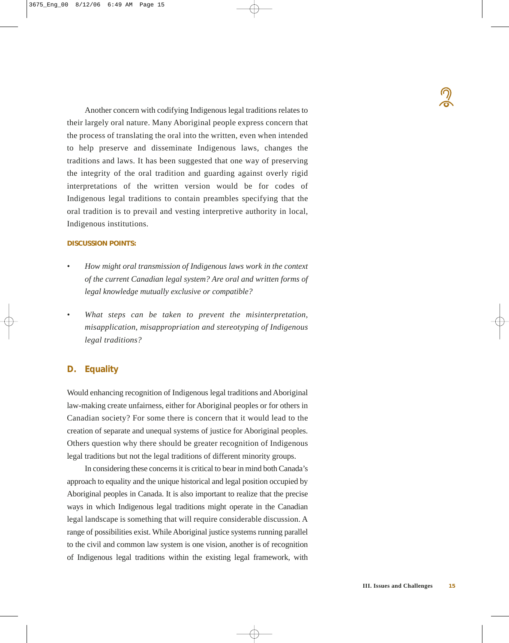Another concern with codifying Indigenous legal traditions relates to their largely oral nature. Many Aboriginal people express concern that the process of translating the oral into the written, even when intended to help preserve and disseminate Indigenous laws, changes the traditions and laws. It has been suggested that one way of preserving the integrity of the oral tradition and guarding against overly rigid interpretations of the written version would be for codes of Indigenous legal traditions to contain preambles specifying that the oral tradition is to prevail and vesting interpretive authority in local, Indigenous institutions.

#### **DISCUSSION POINTS:**

- *How might oral transmission of Indigenous laws work in the context of the current Canadian legal system? Are oral and written forms of legal knowledge mutually exclusive or compatible?*
- *What steps can be taken to prevent the misinterpretation, misapplication, misappropriation and stereotyping of Indigenous legal traditions?*

#### **D. Equality**

Would enhancing recognition of Indigenous legal traditions and Aboriginal law-making create unfairness, either for Aboriginal peoples or for others in Canadian society? For some there is concern that it would lead to the creation of separate and unequal systems of justice for Aboriginal peoples. Others question why there should be greater recognition of Indigenous legal traditions but not the legal traditions of different minority groups.

In considering these concerns it is critical to bear in mind both Canada's approach to equality and the unique historical and legal position occupied by Aboriginal peoples in Canada. It is also important to realize that the precise ways in which Indigenous legal traditions might operate in the Canadian legal landscape is something that will require considerable discussion. A range of possibilities exist. While Aboriginal justice systems running parallel to the civil and common law system is one vision, another is of recognition of Indigenous legal traditions within the existing legal framework, with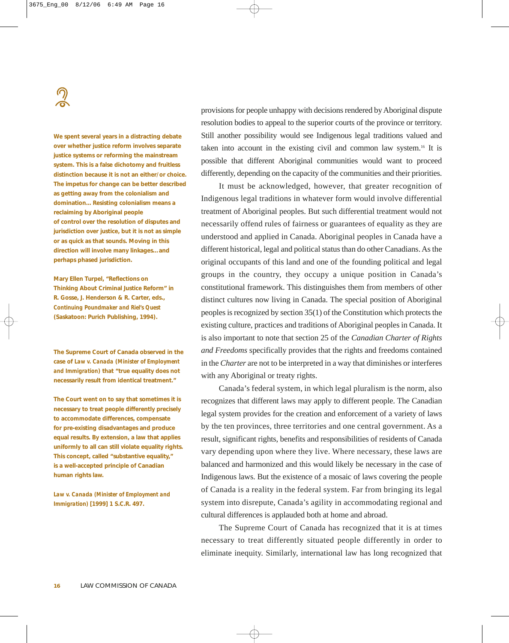**We spent several years in a distracting debate over whether justice reform involves separate justice systems or reforming the mainstream system. This is a false dichotomy and fruitless distinction because it is not an either/or choice. The impetus for change can be better described as getting away from the colonialism and domination... Resisting colonialism means a reclaiming by Aboriginal people of control over the resolution of disputes and jurisdiction over justice, but it is not as simple or as quick as that sounds. Moving in this direction will involve many linkages…and perhaps phased jurisdiction.** 

**Mary Ellen Turpel, "Reflections on Thinking About Criminal Justice Reform" in R. Gosse, J. Henderson & R. Carter, eds.,** *Continuing Poundmaker and Riel's Quest* **(Saskatoon: Purich Publishing, 1994).**

**The Supreme Court of Canada observed in the case of** *Law v. Canada* **(***Minister of Employment and Immigration***) that "true equality does not necessarily result from identical treatment."** 

**The Court went on to say that sometimes it is necessary to treat people differently precisely to accommodate differences, compensate for pre-existing disadvantages and produce equal results. By extension, a law that applies uniformly to all can still violate equality rights. This concept, called "substantive equality," is a well-accepted principle of Canadian human rights law.**

*Law v. Canada (Minister of Employment and Immigration)* **[1999] 1 S.C.R. 497.**

provisions for people unhappy with decisions rendered by Aboriginal dispute resolution bodies to appeal to the superior courts of the province or territory. Still another possibility would see Indigenous legal traditions valued and taken into account in the existing civil and common law system.16 It is possible that different Aboriginal communities would want to proceed differently, depending on the capacity of the communities and their priorities.

It must be acknowledged, however, that greater recognition of Indigenous legal traditions in whatever form would involve differential treatment of Aboriginal peoples. But such differential treatment would not necessarily offend rules of fairness or guarantees of equality as they are understood and applied in Canada. Aboriginal peoples in Canada have a different historical, legal and political status than do other Canadians. As the original occupants of this land and one of the founding political and legal groups in the country, they occupy a unique position in Canada's constitutional framework. This distinguishes them from members of other distinct cultures now living in Canada. The special position of Aboriginal peoples is recognized by section 35(1) of the Constitution which protects the existing culture, practices and traditions of Aboriginal peoples in Canada. It is also important to note that section 25 of the *Canadian Charter of Rights and Freedoms* specifically provides that the rights and freedoms contained in the *Charter* are not to be interpreted in a way that diminishes or interferes with any Aboriginal or treaty rights.

Canada's federal system, in which legal pluralism is the norm, also recognizes that different laws may apply to different people. The Canadian legal system provides for the creation and enforcement of a variety of laws by the ten provinces, three territories and one central government. As a result, significant rights, benefits and responsibilities of residents of Canada vary depending upon where they live. Where necessary, these laws are balanced and harmonized and this would likely be necessary in the case of Indigenous laws. But the existence of a mosaic of laws covering the people of Canada is a reality in the federal system. Far from bringing its legal system into disrepute, Canada's agility in accommodating regional and cultural differences is applauded both at home and abroad.

The Supreme Court of Canada has recognized that it is at times necessary to treat differently situated people differently in order to eliminate inequity. Similarly, international law has long recognized that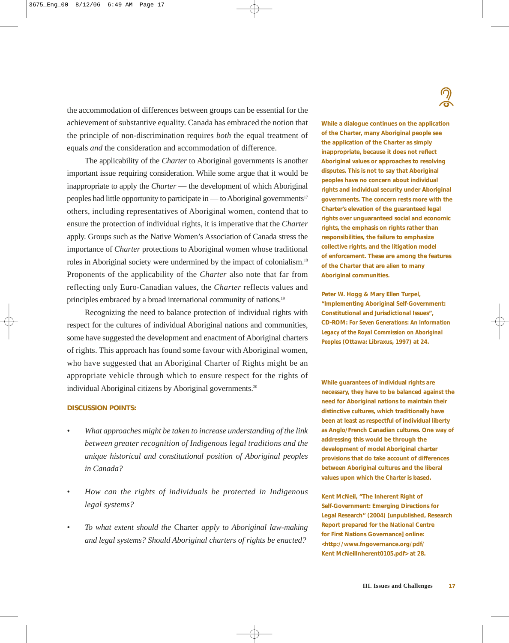the accommodation of differences between groups can be essential for the achievement of substantive equality. Canada has embraced the notion that the principle of non-discrimination requires *both* the equal treatment of equals *and* the consideration and accommodation of difference.

The applicability of the *Charter* to Aboriginal governments is another important issue requiring consideration. While some argue that it would be inappropriate to apply the *Charter* — the development of which Aboriginal peoples had little opportunity to participate in — to Aboriginal governments<sup>17</sup> others, including representatives of Aboriginal women, contend that to ensure the protection of individual rights, it is imperative that the *Charter* apply. Groups such as the Native Women's Association of Canada stress the importance of *Charter* protections to Aboriginal women whose traditional roles in Aboriginal society were undermined by the impact of colonialism.18 Proponents of the applicability of the *Charter* also note that far from reflecting only Euro-Canadian values, the *Charter* reflects values and principles embraced by a broad international community of nations.<sup>19</sup>

Recognizing the need to balance protection of individual rights with respect for the cultures of individual Aboriginal nations and communities, some have suggested the development and enactment of Aboriginal charters of rights. This approach has found some favour with Aboriginal women, who have suggested that an Aboriginal Charter of Rights might be an appropriate vehicle through which to ensure respect for the rights of individual Aboriginal citizens by Aboriginal governments.<sup>20</sup>

#### **DISCUSSION POINTS:**

- *What approaches might be taken to increase understanding of the link between greater recognition of Indigenous legal traditions and the unique historical and constitutional position of Aboriginal peoples in Canada?*
- *How can the rights of individuals be protected in Indigenous legal systems?*
- *To what extent should the* Charter *apply to Aboriginal law-making and legal systems? Should Aboriginal charters of rights be enacted?*

**While a dialogue continues on the application of the Charter, many Aboriginal people see the application of the Charter as simply inappropriate, because it does not reflect Aboriginal values or approaches to resolving disputes. This is not to say that Aboriginal peoples have no concern about individual rights and individual security under Aboriginal governments. The concern rests more with the Charter's elevation of the guaranteed legal rights over unguaranteed social and economic rights, the emphasis on rights rather than responsibilities, the failure to emphasize collective rights, and the litigation model of enforcement. These are among the features of the Charter that are alien to many Aboriginal communities.** 

**Peter W. Hogg & Mary Ellen Turpel, "Implementing Aboriginal Self-Government: Constitutional and Jurisdictional Issues", CD-ROM:** *For Seven Generations: An Information Legacy of the Royal Commission on Aboriginal Peoples* **(Ottawa: Libraxus, 1997) at 24.**

**While guarantees of individual rights are necessary, they have to be balanced against the need for Aboriginal nations to maintain their distinctive cultures, which traditionally have been at least as respectful of individual liberty as Anglo/French Canadian cultures. One way of addressing this would be through the development of model Aboriginal charter provisions that do take account of differences between Aboriginal cultures and the liberal values upon which the** *Charter* **is based.**

**Kent McNeil, "The Inherent Right of Self-Government: Emerging Directions for Legal Research" (2004) [unpublished, Research Report prepared for the National Centre for First Nations Governance] online: <http://www.fngovernance.org/pdf/ Kent McNeilInherent0105.pdf> at 28.**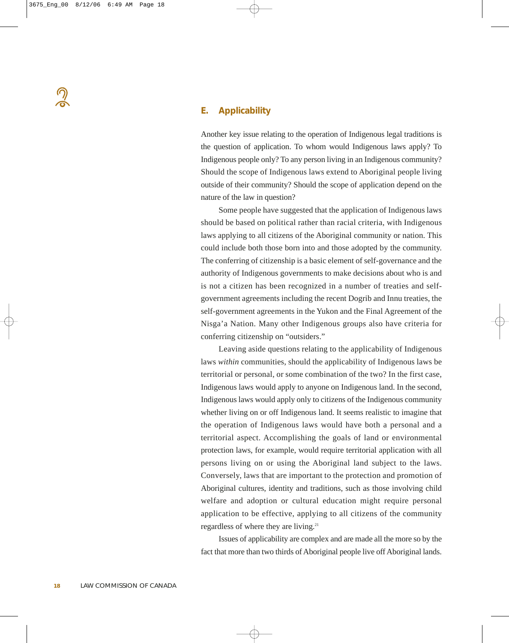#### **E. Applicability**

Another key issue relating to the operation of Indigenous legal traditions is the question of application. To whom would Indigenous laws apply? To Indigenous people only? To any person living in an Indigenous community? Should the scope of Indigenous laws extend to Aboriginal people living outside of their community? Should the scope of application depend on the nature of the law in question?

Some people have suggested that the application of Indigenous laws should be based on political rather than racial criteria, with Indigenous laws applying to all citizens of the Aboriginal community or nation. This could include both those born into and those adopted by the community. The conferring of citizenship is a basic element of self-governance and the authority of Indigenous governments to make decisions about who is and is not a citizen has been recognized in a number of treaties and selfgovernment agreements including the recent Dogrib and Innu treaties, the self-government agreements in the Yukon and the Final Agreement of the Nisga'a Nation. Many other Indigenous groups also have criteria for conferring citizenship on "outsiders."

Leaving aside questions relating to the applicability of Indigenous laws *within* communities, should the applicability of Indigenous laws be territorial or personal, or some combination of the two? In the first case, Indigenous laws would apply to anyone on Indigenous land. In the second, Indigenous laws would apply only to citizens of the Indigenous community whether living on or off Indigenous land. It seems realistic to imagine that the operation of Indigenous laws would have both a personal and a territorial aspect. Accomplishing the goals of land or environmental protection laws, for example, would require territorial application with all persons living on or using the Aboriginal land subject to the laws. Conversely, laws that are important to the protection and promotion of Aboriginal cultures, identity and traditions, such as those involving child welfare and adoption or cultural education might require personal application to be effective, applying to all citizens of the community regardless of where they are living.21

Issues of applicability are complex and are made all the more so by the fact that more than two thirds of Aboriginal people live off Aboriginal lands.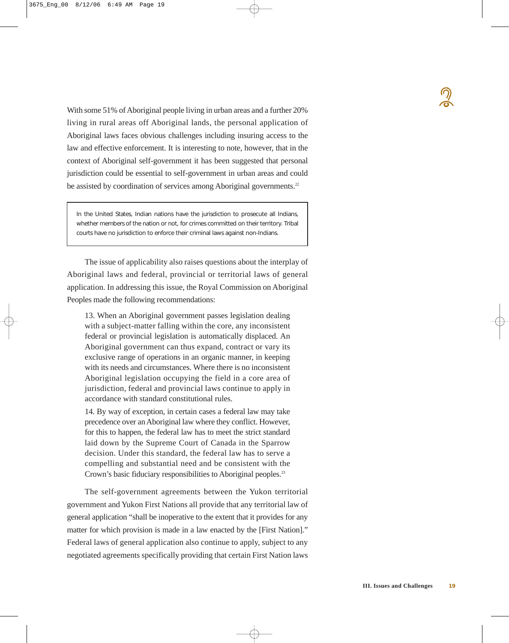With some 51% of Aboriginal people living in urban areas and a further 20% living in rural areas off Aboriginal lands, the personal application of Aboriginal laws faces obvious challenges including insuring access to the law and effective enforcement. It is interesting to note, however, that in the context of Aboriginal self-government it has been suggested that personal jurisdiction could be essential to self-government in urban areas and could be assisted by coordination of services among Aboriginal governments.<sup>22</sup>

In the United States, Indian nations have the jurisdiction to prosecute all Indians, whether members of the nation or not, for crimes committed on their territory. Tribal courts have no jurisdiction to enforce their criminal laws against non-Indians.

The issue of applicability also raises questions about the interplay of Aboriginal laws and federal, provincial or territorial laws of general application. In addressing this issue, the Royal Commission on Aboriginal Peoples made the following recommendations:

13. When an Aboriginal government passes legislation dealing with a subject-matter falling within the core, any inconsistent federal or provincial legislation is automatically displaced. An Aboriginal government can thus expand, contract or vary its exclusive range of operations in an organic manner, in keeping with its needs and circumstances. Where there is no inconsistent Aboriginal legislation occupying the field in a core area of jurisdiction, federal and provincial laws continue to apply in accordance with standard constitutional rules.

14. By way of exception, in certain cases a federal law may take precedence over an Aboriginal law where they conflict. However, for this to happen, the federal law has to meet the strict standard laid down by the Supreme Court of Canada in the Sparrow decision. Under this standard, the federal law has to serve a compelling and substantial need and be consistent with the Crown's basic fiduciary responsibilities to Aboriginal peoples.<sup>23</sup>

The self-government agreements between the Yukon territorial government and Yukon First Nations all provide that any territorial law of general application "shall be inoperative to the extent that it provides for any matter for which provision is made in a law enacted by the [First Nation]." Federal laws of general application also continue to apply, subject to any negotiated agreements specifically providing that certain First Nation laws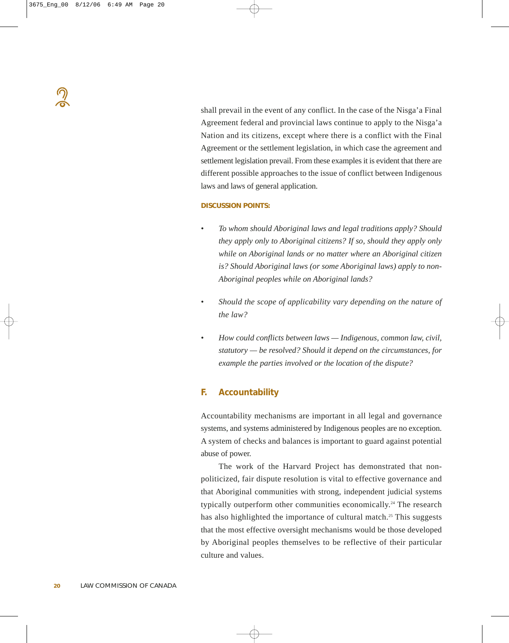shall prevail in the event of any conflict. In the case of the Nisga'a Final Agreement federal and provincial laws continue to apply to the Nisga'a Nation and its citizens, except where there is a conflict with the Final Agreement or the settlement legislation, in which case the agreement and settlement legislation prevail. From these examples it is evident that there are different possible approaches to the issue of conflict between Indigenous laws and laws of general application.

#### **DISCUSSION POINTS:**

- *To whom should Aboriginal laws and legal traditions apply? Should they apply only to Aboriginal citizens? If so, should they apply only while on Aboriginal lands or no matter where an Aboriginal citizen is? Should Aboriginal laws (or some Aboriginal laws) apply to non-Aboriginal peoples while on Aboriginal lands?*
- *Should the scope of applicability vary depending on the nature of the law?*
- *How could conflicts between laws Indigenous, common law, civil, statutory — be resolved? Should it depend on the circumstances, for example the parties involved or the location of the dispute?*

#### **F. Accountability**

Accountability mechanisms are important in all legal and governance systems, and systems administered by Indigenous peoples are no exception. A system of checks and balances is important to guard against potential abuse of power.

The work of the Harvard Project has demonstrated that nonpoliticized, fair dispute resolution is vital to effective governance and that Aboriginal communities with strong, independent judicial systems typically outperform other communities economically.<sup>24</sup> The research has also highlighted the importance of cultural match.<sup>25</sup> This suggests that the most effective oversight mechanisms would be those developed by Aboriginal peoples themselves to be reflective of their particular culture and values.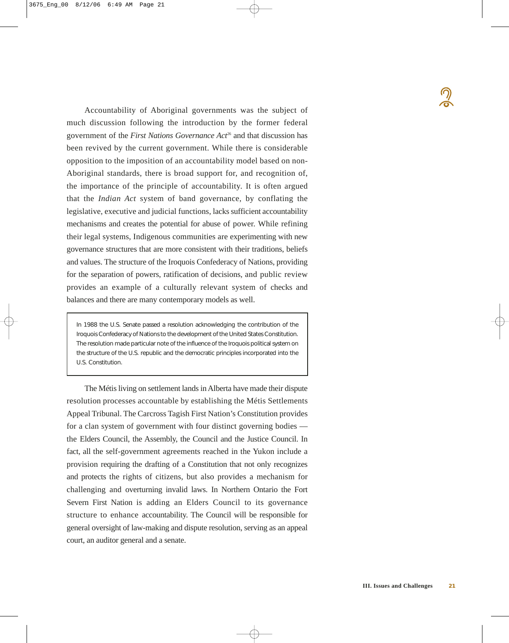Accountability of Aboriginal governments was the subject of much discussion following the introduction by the former federal government of the *First Nations Governance Act*<sup>26</sup> and that discussion has been revived by the current government. While there is considerable opposition to the imposition of an accountability model based on non-Aboriginal standards, there is broad support for, and recognition of, the importance of the principle of accountability. It is often argued that the *Indian Act* system of band governance, by conflating the legislative, executive and judicial functions, lacks sufficient accountability mechanisms and creates the potential for abuse of power. While refining their legal systems, Indigenous communities are experimenting with new governance structures that are more consistent with their traditions, beliefs and values. The structure of the Iroquois Confederacy of Nations, providing for the separation of powers, ratification of decisions, and public review provides an example of a culturally relevant system of checks and balances and there are many contemporary models as well.

In 1988 the U.S. Senate passed a resolution acknowledging the contribution of the Iroquois Confederacy of Nations to the development of the United States Constitution. The resolution made particular note of the influence of the Iroquois political system on the structure of the U.S. republic and the democratic principles incorporated into the U.S. Constitution.

The Métis living on settlement lands in Alberta have made their dispute resolution processes accountable by establishing the Métis Settlements Appeal Tribunal. The Carcross Tagish First Nation's Constitution provides for a clan system of government with four distinct governing bodies the Elders Council, the Assembly, the Council and the Justice Council. In fact, all the self-government agreements reached in the Yukon include a provision requiring the drafting of a Constitution that not only recognizes and protects the rights of citizens, but also provides a mechanism for challenging and overturning invalid laws. In Northern Ontario the Fort Severn First Nation is adding an Elders Council to its governance structure to enhance accountability. The Council will be responsible for general oversight of law-making and dispute resolution, serving as an appeal court, an auditor general and a senate.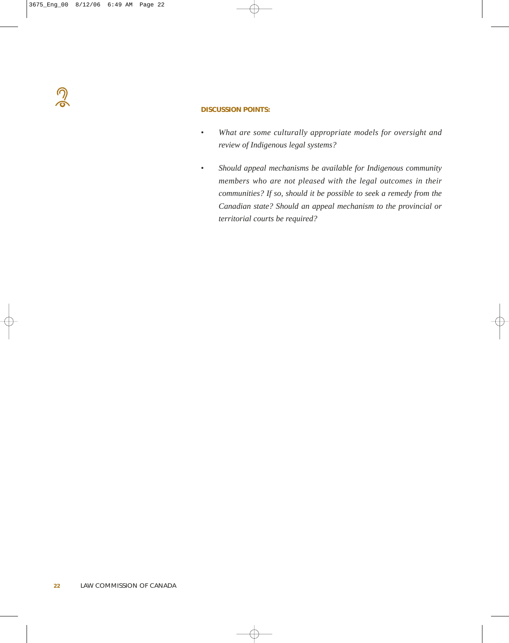#### **DISCUSSION POINTS:**

- *What are some culturally appropriate models for oversight and review of Indigenous legal systems?*
- *Should appeal mechanisms be available for Indigenous community members who are not pleased with the legal outcomes in their communities? If so, should it be possible to seek a remedy from the Canadian state? Should an appeal mechanism to the provincial or territorial courts be required?*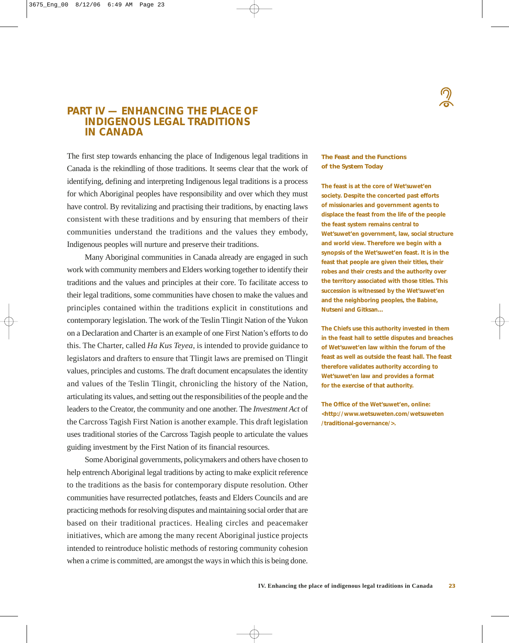## **PART IV — ENHANCING THE PLACE OF INDIGENOUS LEGAL TRADITIONS IN CANADA**

The first step towards enhancing the place of Indigenous legal traditions in Canada is the rekindling of those traditions. It seems clear that the work of identifying, defining and interpreting Indigenous legal traditions is a process for which Aboriginal peoples have responsibility and over which they must have control. By revitalizing and practising their traditions, by enacting laws consistent with these traditions and by ensuring that members of their communities understand the traditions and the values they embody, Indigenous peoples will nurture and preserve their traditions.

Many Aboriginal communities in Canada already are engaged in such work with community members and Elders working together to identify their traditions and the values and principles at their core. To facilitate access to their legal traditions, some communities have chosen to make the values and principles contained within the traditions explicit in constitutions and contemporary legislation. The work of the Teslin Tlingit Nation of the Yukon on a Declaration and Charter is an example of one First Nation's efforts to do this. The Charter, called *Ha Kus Teyea*, is intended to provide guidance to legislators and drafters to ensure that Tlingit laws are premised on Tlingit values, principles and customs. The draft document encapsulates the identity and values of the Teslin Tlingit, chronicling the history of the Nation, articulating its values, and setting out the responsibilities of the people and the leaders to the Creator, the community and one another. The *Investment Act* of the Carcross Tagish First Nation is another example. This draft legislation uses traditional stories of the Carcross Tagish people to articulate the values guiding investment by the First Nation of its financial resources.

Some Aboriginal governments, policymakers and others have chosen to help entrench Aboriginal legal traditions by acting to make explicit reference to the traditions as the basis for contemporary dispute resolution. Other communities have resurrected potlatches, feasts and Elders Councils and are practicing methods for resolving disputes and maintaining social order that are based on their traditional practices. Healing circles and peacemaker initiatives, which are among the many recent Aboriginal justice projects intended to reintroduce holistic methods of restoring community cohesion when a crime is committed, are amongst the ways in which this is being done.

#### **The Feast and the Functions of the System Today**

**The feast is at the core of Wet'suwet'en society. Despite the concerted past efforts of missionaries and government agents to displace the feast from the life of the people the feast system remains central to Wet'suwet'en government, law, social structure and world view. Therefore we begin with a synopsis of the Wet'suwet'en feast. It is in the feast that people are given their titles, their robes and their crests and the authority over the territory associated with those titles. This succession is witnessed by the Wet'suwet'en and the neighboring peoples, the Babine, Nutseni and Gitksan…**

**The Chiefs use this authority invested in them in the feast hall to settle disputes and breaches of Wet'suwet'en law within the forum of the feast as well as outside the feast hall. The feast therefore validates authority according to Wet'suwet'en law and provides a format for the exercise of that authority.**

**The Office of the Wet'suwet'en, online: <http://www.wetsuweten.com/wetsuweten /traditional-governance/>.**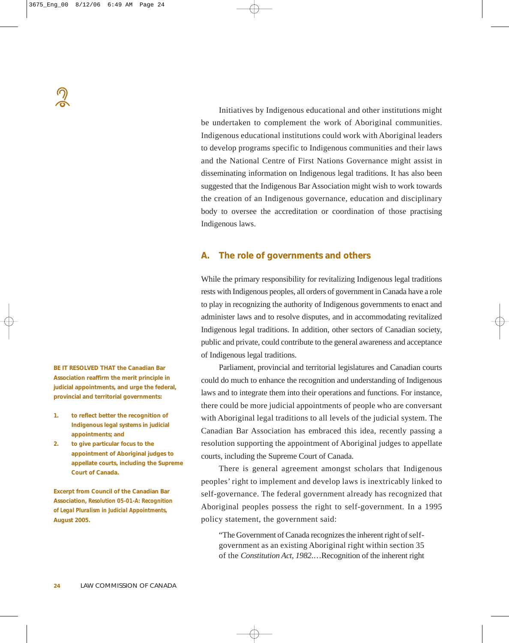**BE IT RESOLVED THAT the Canadian Bar Association reaffirm the merit principle in judicial appointments, and urge the federal,**

**1. to reflect better the recognition of Indigenous legal systems in judicial appointments; and**

**provincial and territorial governments:**

**2. to give particular focus to the appointment of Aboriginal judges to appellate courts, including the Supreme Court of Canada.**

**Excerpt from Council of the Canadian Bar Association,** *Resolution 05-01-A: Recognition of Legal Pluralism in Judicial Appointments,* **August 2005.**

Initiatives by Indigenous educational and other institutions might be undertaken to complement the work of Aboriginal communities. Indigenous educational institutions could work with Aboriginal leaders to develop programs specific to Indigenous communities and their laws and the National Centre of First Nations Governance might assist in disseminating information on Indigenous legal traditions. It has also been suggested that the Indigenous Bar Association might wish to work towards the creation of an Indigenous governance, education and disciplinary body to oversee the accreditation or coordination of those practising Indigenous laws.

#### **A. The role of governments and others**

While the primary responsibility for revitalizing Indigenous legal traditions rests with Indigenous peoples, all orders of government in Canada have a role to play in recognizing the authority of Indigenous governments to enact and administer laws and to resolve disputes, and in accommodating revitalized Indigenous legal traditions. In addition, other sectors of Canadian society, public and private, could contribute to the general awareness and acceptance of Indigenous legal traditions.

Parliament, provincial and territorial legislatures and Canadian courts could do much to enhance the recognition and understanding of Indigenous laws and to integrate them into their operations and functions. For instance, there could be more judicial appointments of people who are conversant with Aboriginal legal traditions to all levels of the judicial system. The Canadian Bar Association has embraced this idea, recently passing a resolution supporting the appointment of Aboriginal judges to appellate courts, including the Supreme Court of Canada.

There is general agreement amongst scholars that Indigenous peoples' right to implement and develop laws is inextricably linked to self-governance. The federal government already has recognized that Aboriginal peoples possess the right to self-government. In a 1995 policy statement, the government said:

"The Government of Canada recognizes the inherent right of selfgovernment as an existing Aboriginal right within section 35 of the *Constitution Act*, *1982*.…Recognition of the inherent right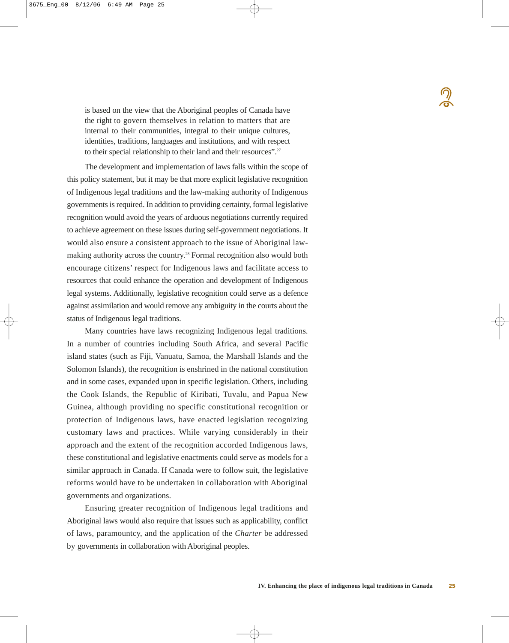is based on the view that the Aboriginal peoples of Canada have the right to govern themselves in relation to matters that are internal to their communities, integral to their unique cultures, identities, traditions, languages and institutions, and with respect to their special relationship to their land and their resources".<sup>27</sup>

The development and implementation of laws falls within the scope of this policy statement, but it may be that more explicit legislative recognition of Indigenous legal traditions and the law-making authority of Indigenous governments is required. In addition to providing certainty, formal legislative recognition would avoid the years of arduous negotiations currently required to achieve agreement on these issues during self-government negotiations. It would also ensure a consistent approach to the issue of Aboriginal lawmaking authority across the country.28 Formal recognition also would both encourage citizens' respect for Indigenous laws and facilitate access to resources that could enhance the operation and development of Indigenous legal systems. Additionally, legislative recognition could serve as a defence against assimilation and would remove any ambiguity in the courts about the status of Indigenous legal traditions.

Many countries have laws recognizing Indigenous legal traditions. In a number of countries including South Africa, and several Pacific island states (such as Fiji, Vanuatu, Samoa, the Marshall Islands and the Solomon Islands), the recognition is enshrined in the national constitution and in some cases, expanded upon in specific legislation. Others, including the Cook Islands, the Republic of Kiribati, Tuvalu, and Papua New Guinea, although providing no specific constitutional recognition or protection of Indigenous laws, have enacted legislation recognizing customary laws and practices. While varying considerably in their approach and the extent of the recognition accorded Indigenous laws, these constitutional and legislative enactments could serve as models for a similar approach in Canada. If Canada were to follow suit, the legislative reforms would have to be undertaken in collaboration with Aboriginal governments and organizations.

Ensuring greater recognition of Indigenous legal traditions and Aboriginal laws would also require that issues such as applicability, conflict of laws, paramountcy, and the application of the *Charter* be addressed by governments in collaboration with Aboriginal peoples.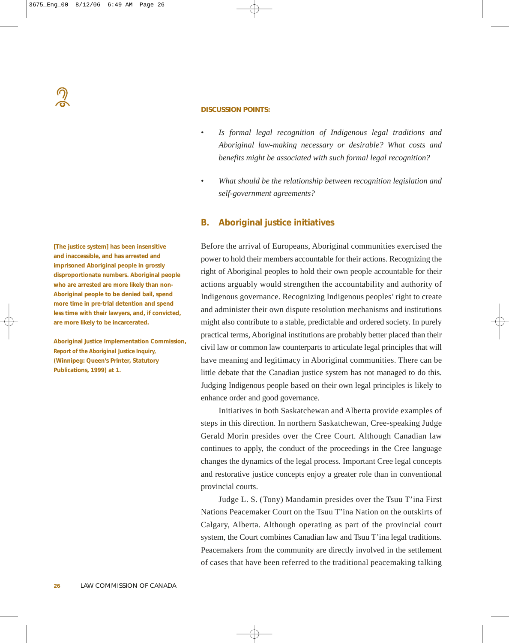**[The justice system] has been insensitive and inaccessible, and has arrested and imprisoned Aboriginal people in grossly disproportionate numbers. Aboriginal people who are arrested are more likely than non-Aboriginal people to be denied bail, spend more time in pre-trial detention and spend less time with their lawyers, and, if convicted, are more likely to be incarcerated.**

**Aboriginal Justice Implementation Commission,** *Report of the Aboriginal Justice Inquiry,* **(Winnipeg: Queen's Printer, Statutory Publications, 1999) at 1.** 

#### **DISCUSSION POINTS:**

- *Is formal legal recognition of Indigenous legal traditions and Aboriginal law-making necessary or desirable? What costs and benefits might be associated with such formal legal recognition?*
- *What should be the relationship between recognition legislation and self-government agreements?*

#### **B. Aboriginal justice initiatives**

Before the arrival of Europeans, Aboriginal communities exercised the power to hold their members accountable for their actions. Recognizing the right of Aboriginal peoples to hold their own people accountable for their actions arguably would strengthen the accountability and authority of Indigenous governance. Recognizing Indigenous peoples' right to create and administer their own dispute resolution mechanisms and institutions might also contribute to a stable, predictable and ordered society. In purely practical terms, Aboriginal institutions are probably better placed than their civil law or common law counterparts to articulate legal principles that will have meaning and legitimacy in Aboriginal communities. There can be little debate that the Canadian justice system has not managed to do this. Judging Indigenous people based on their own legal principles is likely to enhance order and good governance.

Initiatives in both Saskatchewan and Alberta provide examples of steps in this direction. In northern Saskatchewan, Cree-speaking Judge Gerald Morin presides over the Cree Court. Although Canadian law continues to apply, the conduct of the proceedings in the Cree language changes the dynamics of the legal process. Important Cree legal concepts and restorative justice concepts enjoy a greater role than in conventional provincial courts.

Judge L. S. (Tony) Mandamin presides over the Tsuu T'ina First Nations Peacemaker Court on the Tsuu T'ina Nation on the outskirts of Calgary, Alberta. Although operating as part of the provincial court system, the Court combines Canadian law and Tsuu T'ina legal traditions. Peacemakers from the community are directly involved in the settlement of cases that have been referred to the traditional peacemaking talking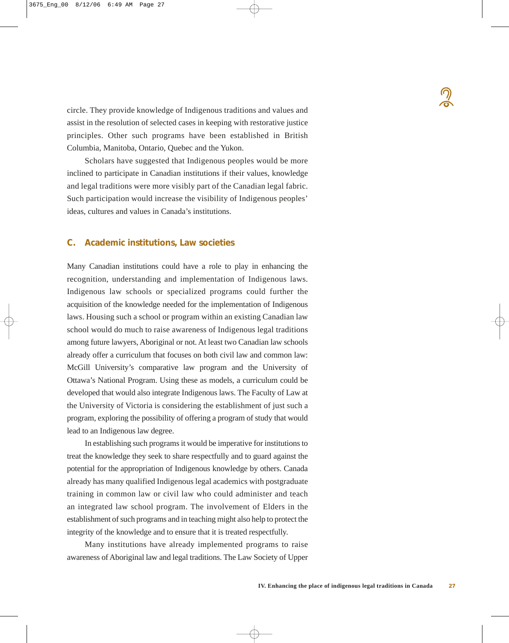circle. They provide knowledge of Indigenous traditions and values and assist in the resolution of selected cases in keeping with restorative justice principles. Other such programs have been established in British Columbia, Manitoba, Ontario, Quebec and the Yukon.

Scholars have suggested that Indigenous peoples would be more inclined to participate in Canadian institutions if their values, knowledge and legal traditions were more visibly part of the Canadian legal fabric. Such participation would increase the visibility of Indigenous peoples' ideas, cultures and values in Canada's institutions.

#### **C. Academic institutions, Law societies**

Many Canadian institutions could have a role to play in enhancing the recognition, understanding and implementation of Indigenous laws. Indigenous law schools or specialized programs could further the acquisition of the knowledge needed for the implementation of Indigenous laws. Housing such a school or program within an existing Canadian law school would do much to raise awareness of Indigenous legal traditions among future lawyers, Aboriginal or not. At least two Canadian law schools already offer a curriculum that focuses on both civil law and common law: McGill University's comparative law program and the University of Ottawa's National Program. Using these as models, a curriculum could be developed that would also integrate Indigenous laws. The Faculty of Law at the University of Victoria is considering the establishment of just such a program, exploring the possibility of offering a program of study that would lead to an Indigenous law degree.

In establishing such programs it would be imperative for institutions to treat the knowledge they seek to share respectfully and to guard against the potential for the appropriation of Indigenous knowledge by others. Canada already has many qualified Indigenous legal academics with postgraduate training in common law or civil law who could administer and teach an integrated law school program. The involvement of Elders in the establishment of such programs and in teaching might also help to protect the integrity of the knowledge and to ensure that it is treated respectfully.

Many institutions have already implemented programs to raise awareness of Aboriginal law and legal traditions. The Law Society of Upper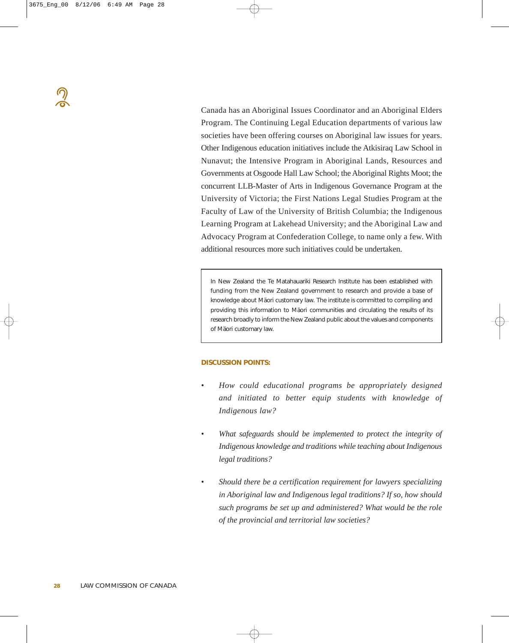Canada has an Aboriginal Issues Coordinator and an Aboriginal Elders Program. The Continuing Legal Education departments of various law societies have been offering courses on Aboriginal law issues for years. Other Indigenous education initiatives include the Atkisiraq Law School in Nunavut; the Intensive Program in Aboriginal Lands, Resources and Governments at Osgoode Hall Law School; the Aboriginal Rights Moot; the concurrent LLB-Master of Arts in Indigenous Governance Program at the University of Victoria; the First Nations Legal Studies Program at the Faculty of Law of the University of British Columbia; the Indigenous Learning Program at Lakehead University; and the Aboriginal Law and Advocacy Program at Confederation College, to name only a few. With additional resources more such initiatives could be undertaken.

In New Zealand the Te Matahauariki Research Institute has been established with funding from the New Zealand government to research and provide a base of knowledge about Mäori customary law. The institute is committed to compiling and providing this information to Mäori communities and circulating the results of its research broadly to inform the New Zealand public about the values and components of Mäori customary law.

#### **DISCUSSION POINTS:**

- *How could educational programs be appropriately designed and initiated to better equip students with knowledge of Indigenous law?*
- *What safeguards should be implemented to protect the integrity of Indigenous knowledge and traditions while teaching about Indigenous legal traditions?*
- *Should there be a certification requirement for lawyers specializing in Aboriginal law and Indigenous legal traditions? If so, how should such programs be set up and administered? What would be the role of the provincial and territorial law societies?*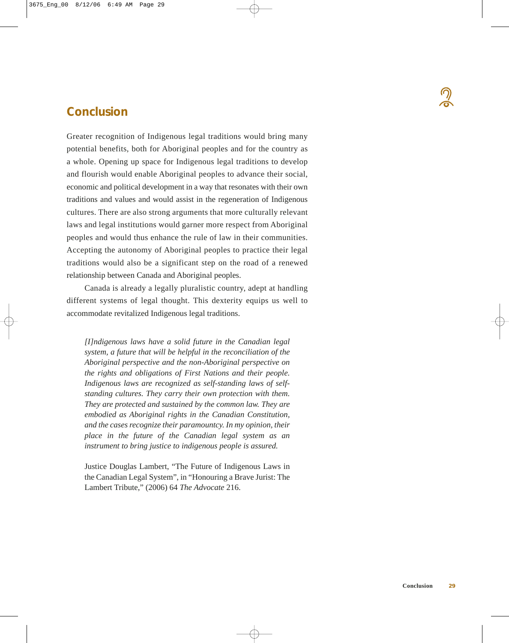## **Conclusion**

Greater recognition of Indigenous legal traditions would bring many potential benefits, both for Aboriginal peoples and for the country as a whole. Opening up space for Indigenous legal traditions to develop and flourish would enable Aboriginal peoples to advance their social, economic and political development in a way that resonates with their own traditions and values and would assist in the regeneration of Indigenous cultures. There are also strong arguments that more culturally relevant laws and legal institutions would garner more respect from Aboriginal peoples and would thus enhance the rule of law in their communities. Accepting the autonomy of Aboriginal peoples to practice their legal traditions would also be a significant step on the road of a renewed relationship between Canada and Aboriginal peoples.

Canada is already a legally pluralistic country, adept at handling different systems of legal thought. This dexterity equips us well to accommodate revitalized Indigenous legal traditions.

*[I]ndigenous laws have a solid future in the Canadian legal system, a future that will be helpful in the reconciliation of the Aboriginal perspective and the non-Aboriginal perspective on the rights and obligations of First Nations and their people. Indigenous laws are recognized as self-standing laws of selfstanding cultures. They carry their own protection with them. They are protected and sustained by the common law. They are embodied as Aboriginal rights in the Canadian Constitution, and the cases recognize their paramountcy. In my opinion, their place in the future of the Canadian legal system as an instrument to bring justice to indigenous people is assured.*

Justice Douglas Lambert, "The Future of Indigenous Laws in the Canadian Legal System", in "Honouring a Brave Jurist: The Lambert Tribute," (2006) 64 *The Advocate* 216.

**Conclusion 29**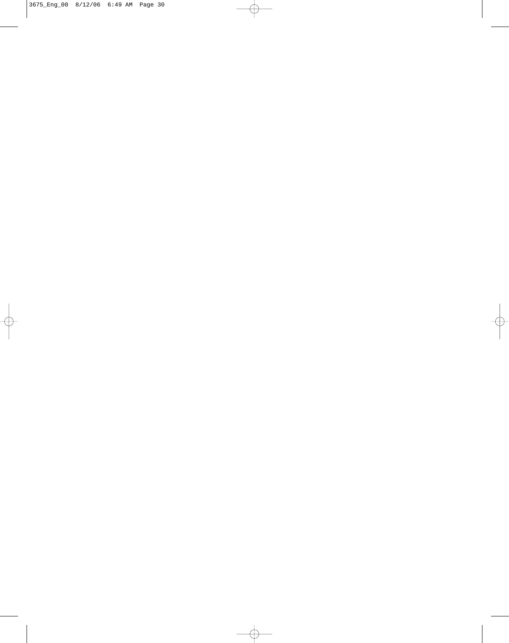3675\_Eng\_00 8/12/06 6:49 AM Page 30

 $\overline{\mathrm{P}}$ 

 $\bigoplus$ 

 $\oplus$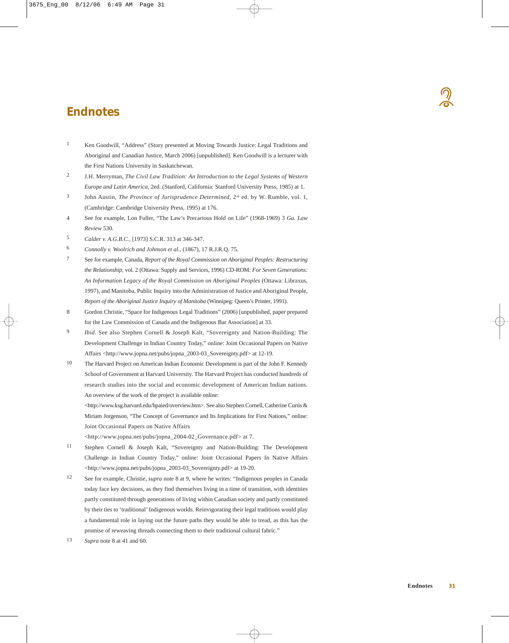## **Endnotes**

- 1 Ken Goodwill, "Address" (Story presented at Moving Towards Justice: Legal Traditions and Aboriginal and Canadian Justice, March 2006) [unpublished]. Ken Goodwill is a lecturer with the First Nations University in Saskatchewan.
- 2 J.H. Merryman, *The Civil Law Tradition: An Introduction to the Legal Systems of Western Europe and Latin America*, 2ed. (Stanford, California: Stanford University Press, 1985) at 1.
- <sup>3</sup> John Austin, *The Province of Jurisprudence Determined*, 2<sup>nd</sup> ed. by W. Rumble, vol. 1, (Cambridge: Cambridge University Press, 1995) at 176.
- 4 See for example, Lon Fuller, "The Law's Precarious Hold on Life" (1968-1969) 3 *Ga. Law Review* 530.
- 5 *Calder v. A.G.B.C.,* [1973] S.C.R. 313 at 346-347.
- 6 *Connolly v. Woolrich and Johnson et al.*, (1867), 17 R.J.R.Q. 75.
- 7 See for example, Canada, *Report of the Royal Commission on Aboriginal Peoples: Restructuring the Relationship*, vol. 2 (Ottawa: Supply and Services, 1996) CD-ROM: *For Seven Generations: An Information Legacy of the Royal Commission on Aboriginal Peoples* (Ottawa: Libraxus, 1997), and Manitoba, Public Inquiry into the Administration of Justice and Aboriginal People, *Report of the Aboriginal Justice Inquiry of Manitoba* (Winnipeg: Queen's Printer, 1991).
- 8 Gordon Christie, "Space for Indigenous Legal Traditions" (2006) [unpublished, paper prepared for the Law Commission of Canada and the Indigenous Bar Association] at 33.
- *Ibid.* See also Stephen Cornell & Joseph Kalt, "Sovereignty and Nation-Building: The Development Challenge in Indian Country Today," online: Joint Occasional Papers on Native Affairs <http://www.jopna.net/pubs/jopna\_2003-03\_Sovereignty.pdf> at 12-19.
- 10 The Harvard Project on American Indian Economic Development is part of the John F. Kennedy School of Government at Harvard University. The Harvard Project has conducted hundreds of research studies into the social and economic development of American Indian nations. An overview of the work of the project is available online:
	- <http://www.ksg.harvard.edu/hpaied/overview.htm>. See also Stephen Cornell, Catherine Curtis & Miriam Jorgenson, "The Concept of Governance and Its Implications for First Nations," online: Joint Occasional Papers on Native Affairs
	- <http://www.jopna.net/pubs/jopna\_2004-02\_Governance.pdf> at 7.
- 11 Stephen Cornell & Joseph Kalt, "Sovereignty and Nation-Building: The Development Challenge in Indian Country Today," online: Joint Occasional Papers In Native Affairs <http://www.jopna.net/pubs/jopna\_2003-03\_Sovereignty.pdf> at 19-20.
- 12 See for example, Christie, *supra* note 8 at 9, where he writes: "Indigenous peoples in Canada today face key decisions, as they find themselves living in a time of transition, with identities partly constituted through generations of living within Canadian society and partly constituted by their ties to 'traditional' Indigenous worlds. Reinvigorating their legal traditions would play a fundamental role in laying out the future paths they would be able to tread, as this has the promise of reweaving threads connecting them to their traditional cultural fabric."
- 13 *Supra* note 8 at 41 and 60.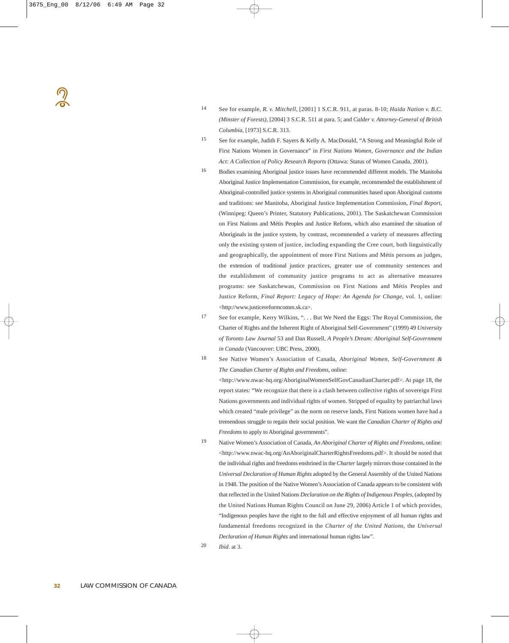14 See for example, *R. v. Mitchell*, [2001] 1 S.C.R. 911, at paras. 8-10; *Haida Nation v. B.C. (Minster of Forests)*, [2004] 3 S.C.R. 511 at para. 5; and *Calder v. Attorney-General of British Columbia*, [1973] S.C.R. 313.

- 15 See for example, Judith F. Sayers & Kelly A. MacDonald, "A Strong and Meaningful Role of First Nations Women in Governance" in *First Nations Women, Governance and the Indian Act: A Collection of Policy Research Reports* (Ottawa: Status of Women Canada, 2001).
- 16 Bodies examining Aboriginal justice issues have recommended different models. The Manitoba Aboriginal Justice Implementation Commission, for example, recommended the establishment of Aboriginal-controlled justice systems in Aboriginal communities based upon Aboriginal customs and traditions: see Manitoba, Aboriginal Justice Implementation Commission, *Final Report*, (Winnipeg: Queen's Printer, Statutory Publications, 2001). The Saskatchewan Commission on First Nations and Métis Peoples and Justice Reform, which also examined the situation of Aboriginals in the justice system, by contrast, recommended a variety of measures affecting only the existing system of justice, including expanding the Cree court, both linguistically and geographically, the appointment of more First Nations and Métis persons as judges, the extension of traditional justice practices, greater use of community sentences and the establishment of community justice programs to act as alternative measures programs: see Saskatchewan, Commission on First Nations and Métis Peoples and Justice Reform, *Final Report: Legacy of Hope: An Agenda for Change*, vol. 1, online: <http://www.justicereformcomm.sk.ca>.
- 17 See for example, Kerry Wilkins, ". . . But We Need the Eggs: The Royal Commission, the Charter of Rights and the Inherent Right of Aboriginal Self-Government" (1999) 49 *University of Toronto Law Journal* 53 and Dan Russell, *A People's Dream: Aboriginal Self-Government in Canada* (Vancouver: UBC Press, 2000).
- 18 See Native Women's Association of Canada, *Aboriginal Women, Self-Government & The Canadian Charter of Rights and Freedoms*, online: <http://www.nwac-hq.org/AboriginalWomenSelfGovCanadianCharter.pdf>. At page 18, the

report states: "We recognize that there is a clash between collective rights of sovereign First Nations governments and individual rights of women. Stripped of equality by patriarchal laws which created "male privilege" as the norm on reserve lands, First Nations women have had a tremendous struggle to regain their social position. We want the *Canadian Charter of Rights and Freedoms* to apply to Aboriginal governments".

- 19 Native Women's Association of Canada, *An Aboriginal Charter of Rights and Freedoms*, online: <http://www.nwac-hq.org/AnAboriginalCharterRightsFreedoms.pdf>. It should be noted that the individual rights and freedoms enshrined in the *Charter* largely mirrors those contained in the *Universal Declaration of Human Rights* adopted by the General Assembly of the United Nations in 1948. The position of the Native Women's Association of Canada appears to be consistent with that reflected in the United Nations *Declaration on the Rights of Indigenous Peoples*, (adopted by the United Nations Human Rights Council on June 29, 2006) Article 1 of which provides, "Indigenous peoples have the right to the full and effective enjoyment of all human rights and fundamental freedoms recognized in the *Charter of the United Nations*, the *Universal Declaration of Human Rights* and international human rights law".
- 20 *Ibid*. at 3.